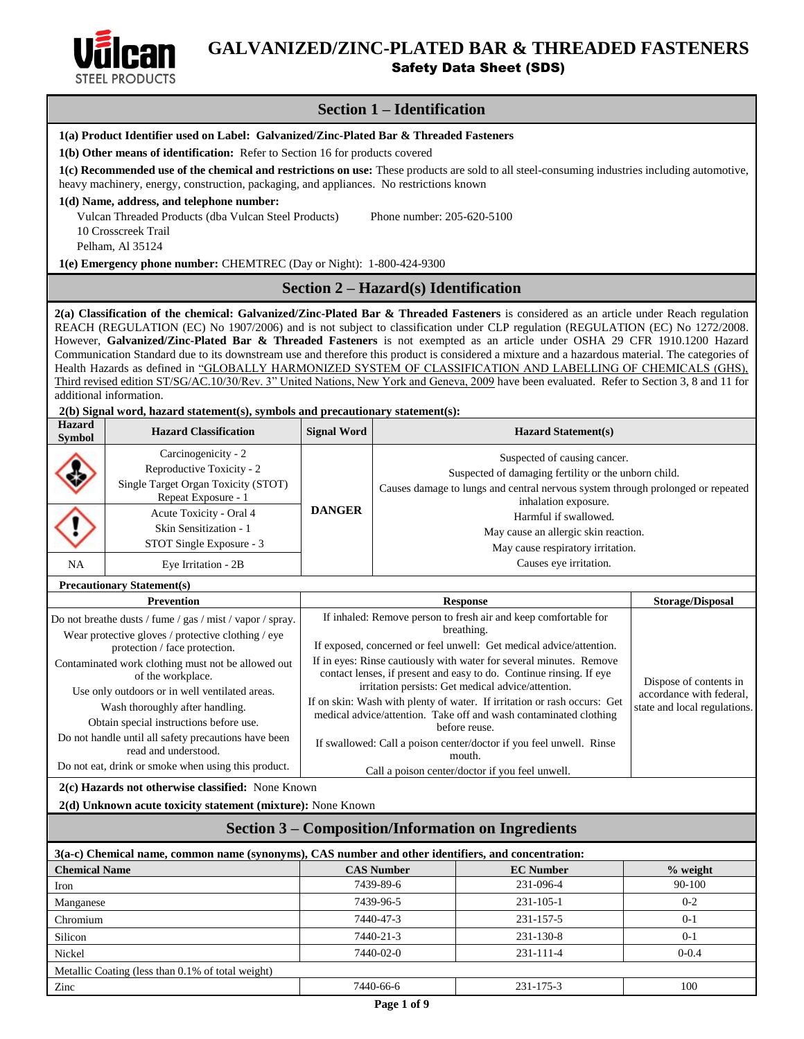

# **GALVANIZED/ZINC-PLATED BAR & THREADED FASTENERS** Safety Data Sheet (SDS)

# **Section 1 – Identification**

| 1(a) Product Identifier used on Label: Galvanized/Zinc-Plated Bar & Threaded Fasteners                                                                                                                                                                                                                                                                                                                                                                                                                                                                                                                                                                                                                                                                                                                                                              |                                                                                                                                                                                                                                          |                    |                                      |                                                                                                                                            |                                                    |  |
|-----------------------------------------------------------------------------------------------------------------------------------------------------------------------------------------------------------------------------------------------------------------------------------------------------------------------------------------------------------------------------------------------------------------------------------------------------------------------------------------------------------------------------------------------------------------------------------------------------------------------------------------------------------------------------------------------------------------------------------------------------------------------------------------------------------------------------------------------------|------------------------------------------------------------------------------------------------------------------------------------------------------------------------------------------------------------------------------------------|--------------------|--------------------------------------|--------------------------------------------------------------------------------------------------------------------------------------------|----------------------------------------------------|--|
|                                                                                                                                                                                                                                                                                                                                                                                                                                                                                                                                                                                                                                                                                                                                                                                                                                                     | 1(b) Other means of identification: Refer to Section 16 for products covered                                                                                                                                                             |                    |                                      |                                                                                                                                            |                                                    |  |
|                                                                                                                                                                                                                                                                                                                                                                                                                                                                                                                                                                                                                                                                                                                                                                                                                                                     | 1(c) Recommended use of the chemical and restrictions on use: These products are sold to all steel-consuming industries including automotive,<br>heavy machinery, energy, construction, packaging, and appliances. No restrictions known |                    |                                      |                                                                                                                                            |                                                    |  |
|                                                                                                                                                                                                                                                                                                                                                                                                                                                                                                                                                                                                                                                                                                                                                                                                                                                     | 1(d) Name, address, and telephone number:                                                                                                                                                                                                |                    |                                      |                                                                                                                                            |                                                    |  |
|                                                                                                                                                                                                                                                                                                                                                                                                                                                                                                                                                                                                                                                                                                                                                                                                                                                     | Vulcan Threaded Products (dba Vulcan Steel Products)                                                                                                                                                                                     |                    | Phone number: 205-620-5100           |                                                                                                                                            |                                                    |  |
|                                                                                                                                                                                                                                                                                                                                                                                                                                                                                                                                                                                                                                                                                                                                                                                                                                                     | 10 Crosscreek Trail                                                                                                                                                                                                                      |                    |                                      |                                                                                                                                            |                                                    |  |
|                                                                                                                                                                                                                                                                                                                                                                                                                                                                                                                                                                                                                                                                                                                                                                                                                                                     | Pelham, Al 35124                                                                                                                                                                                                                         |                    |                                      |                                                                                                                                            |                                                    |  |
|                                                                                                                                                                                                                                                                                                                                                                                                                                                                                                                                                                                                                                                                                                                                                                                                                                                     | 1(e) Emergency phone number: CHEMTREC (Day or Night): 1-800-424-9300                                                                                                                                                                     |                    |                                      |                                                                                                                                            |                                                    |  |
|                                                                                                                                                                                                                                                                                                                                                                                                                                                                                                                                                                                                                                                                                                                                                                                                                                                     |                                                                                                                                                                                                                                          |                    | Section 2 - Hazard(s) Identification |                                                                                                                                            |                                                    |  |
| 2(a) Classification of the chemical: Galvanized/Zinc-Plated Bar & Threaded Fasteners is considered as an article under Reach regulation<br>REACH (REGULATION (EC) No 1907/2006) and is not subject to classification under CLP regulation (REGULATION (EC) No 1272/2008.<br>However, Galvanized/Zinc-Plated Bar & Threaded Fasteners is not exempted as an article under OSHA 29 CFR 1910.1200 Hazard<br>Communication Standard due to its downstream use and therefore this product is considered a mixture and a hazardous material. The categories of<br>Health Hazards as defined in "GLOBALLY HARMONIZED SYSTEM OF CLASSIFICATION AND LABELLING OF CHEMICALS (GHS),<br>Third revised edition ST/SG/AC.10/30/Rev. 3" United Nations, New York and Geneva, 2009 have been evaluated. Refer to Section 3, 8 and 11 for<br>additional information. |                                                                                                                                                                                                                                          |                    |                                      |                                                                                                                                            |                                                    |  |
|                                                                                                                                                                                                                                                                                                                                                                                                                                                                                                                                                                                                                                                                                                                                                                                                                                                     | 2(b) Signal word, hazard statement(s), symbols and precautionary statement(s):                                                                                                                                                           |                    |                                      |                                                                                                                                            |                                                    |  |
| <b>Hazard</b><br><b>Symbol</b>                                                                                                                                                                                                                                                                                                                                                                                                                                                                                                                                                                                                                                                                                                                                                                                                                      | <b>Hazard Classification</b>                                                                                                                                                                                                             | <b>Signal Word</b> |                                      | <b>Hazard Statement(s)</b>                                                                                                                 |                                                    |  |
|                                                                                                                                                                                                                                                                                                                                                                                                                                                                                                                                                                                                                                                                                                                                                                                                                                                     | Carcinogenicity - 2                                                                                                                                                                                                                      |                    |                                      | Suspected of causing cancer.                                                                                                               |                                                    |  |
|                                                                                                                                                                                                                                                                                                                                                                                                                                                                                                                                                                                                                                                                                                                                                                                                                                                     | Reproductive Toxicity - 2                                                                                                                                                                                                                |                    |                                      | Suspected of damaging fertility or the unborn child.                                                                                       |                                                    |  |
|                                                                                                                                                                                                                                                                                                                                                                                                                                                                                                                                                                                                                                                                                                                                                                                                                                                     | Single Target Organ Toxicity (STOT)                                                                                                                                                                                                      |                    |                                      | Causes damage to lungs and central nervous system through prolonged or repeated                                                            |                                                    |  |
|                                                                                                                                                                                                                                                                                                                                                                                                                                                                                                                                                                                                                                                                                                                                                                                                                                                     | Repeat Exposure - 1<br>Acute Toxicity - Oral 4                                                                                                                                                                                           | <b>DANGER</b>      |                                      | inhalation exposure.                                                                                                                       |                                                    |  |
|                                                                                                                                                                                                                                                                                                                                                                                                                                                                                                                                                                                                                                                                                                                                                                                                                                                     | Skin Sensitization - 1                                                                                                                                                                                                                   |                    |                                      | Harmful if swallowed.                                                                                                                      |                                                    |  |
|                                                                                                                                                                                                                                                                                                                                                                                                                                                                                                                                                                                                                                                                                                                                                                                                                                                     | STOT Single Exposure - 3                                                                                                                                                                                                                 |                    |                                      | May cause an allergic skin reaction.<br>May cause respiratory irritation.                                                                  |                                                    |  |
| <b>NA</b>                                                                                                                                                                                                                                                                                                                                                                                                                                                                                                                                                                                                                                                                                                                                                                                                                                           | Eye Irritation - 2B                                                                                                                                                                                                                      |                    |                                      | Causes eye irritation.                                                                                                                     |                                                    |  |
| <b>Precautionary Statement(s)</b>                                                                                                                                                                                                                                                                                                                                                                                                                                                                                                                                                                                                                                                                                                                                                                                                                   |                                                                                                                                                                                                                                          |                    |                                      |                                                                                                                                            |                                                    |  |
|                                                                                                                                                                                                                                                                                                                                                                                                                                                                                                                                                                                                                                                                                                                                                                                                                                                     | <b>Prevention</b>                                                                                                                                                                                                                        |                    |                                      | <b>Response</b>                                                                                                                            | <b>Storage/Disposal</b>                            |  |
|                                                                                                                                                                                                                                                                                                                                                                                                                                                                                                                                                                                                                                                                                                                                                                                                                                                     | Do not breathe dusts / fume / gas / mist / vapor / spray.                                                                                                                                                                                |                    |                                      | If inhaled: Remove person to fresh air and keep comfortable for                                                                            |                                                    |  |
|                                                                                                                                                                                                                                                                                                                                                                                                                                                                                                                                                                                                                                                                                                                                                                                                                                                     | Wear protective gloves / protective clothing / eye                                                                                                                                                                                       |                    |                                      | breathing.                                                                                                                                 |                                                    |  |
|                                                                                                                                                                                                                                                                                                                                                                                                                                                                                                                                                                                                                                                                                                                                                                                                                                                     | protection / face protection.                                                                                                                                                                                                            |                    |                                      | If exposed, concerned or feel unwell: Get medical advice/attention.                                                                        |                                                    |  |
|                                                                                                                                                                                                                                                                                                                                                                                                                                                                                                                                                                                                                                                                                                                                                                                                                                                     | Contaminated work clothing must not be allowed out<br>of the workplace.                                                                                                                                                                  |                    |                                      | If in eyes: Rinse cautiously with water for several minutes. Remove<br>contact lenses, if present and easy to do. Continue rinsing. If eye |                                                    |  |
|                                                                                                                                                                                                                                                                                                                                                                                                                                                                                                                                                                                                                                                                                                                                                                                                                                                     | Use only outdoors or in well ventilated areas.                                                                                                                                                                                           |                    |                                      | irritation persists: Get medical advice/attention.                                                                                         | Dispose of contents in<br>accordance with federal. |  |
|                                                                                                                                                                                                                                                                                                                                                                                                                                                                                                                                                                                                                                                                                                                                                                                                                                                     | Wash thoroughly after handling.                                                                                                                                                                                                          |                    |                                      | If on skin: Wash with plenty of water. If irritation or rash occurs: Get                                                                   | state and local regulations.                       |  |
|                                                                                                                                                                                                                                                                                                                                                                                                                                                                                                                                                                                                                                                                                                                                                                                                                                                     | Obtain special instructions before use.                                                                                                                                                                                                  |                    |                                      | medical advice/attention. Take off and wash contaminated clothing<br>before reuse.                                                         |                                                    |  |
|                                                                                                                                                                                                                                                                                                                                                                                                                                                                                                                                                                                                                                                                                                                                                                                                                                                     | Do not handle until all safety precautions have been                                                                                                                                                                                     |                    |                                      | If swallowed: Call a poison center/doctor if you feel unwell. Rinse                                                                        |                                                    |  |
|                                                                                                                                                                                                                                                                                                                                                                                                                                                                                                                                                                                                                                                                                                                                                                                                                                                     | read and understood.<br>Do not eat, drink or smoke when using this product.                                                                                                                                                              |                    |                                      | mouth.<br>Call a poison center/doctor if you feel unwell.                                                                                  |                                                    |  |
|                                                                                                                                                                                                                                                                                                                                                                                                                                                                                                                                                                                                                                                                                                                                                                                                                                                     | 2(c) Hazards not otherwise classified: None Known                                                                                                                                                                                        |                    |                                      |                                                                                                                                            |                                                    |  |
|                                                                                                                                                                                                                                                                                                                                                                                                                                                                                                                                                                                                                                                                                                                                                                                                                                                     | 2(d) Unknown acute toxicity statement (mixture): None Known                                                                                                                                                                              |                    |                                      |                                                                                                                                            |                                                    |  |
|                                                                                                                                                                                                                                                                                                                                                                                                                                                                                                                                                                                                                                                                                                                                                                                                                                                     |                                                                                                                                                                                                                                          |                    |                                      | <b>Section 3 – Composition/Information on Ingredients</b>                                                                                  |                                                    |  |
|                                                                                                                                                                                                                                                                                                                                                                                                                                                                                                                                                                                                                                                                                                                                                                                                                                                     | 3(a-c) Chemical name, common name (synonyms), CAS number and other identifiers, and concentration:                                                                                                                                       |                    |                                      |                                                                                                                                            |                                                    |  |
| <b>Chemical Name</b>                                                                                                                                                                                                                                                                                                                                                                                                                                                                                                                                                                                                                                                                                                                                                                                                                                |                                                                                                                                                                                                                                          |                    | <b>CAS Number</b>                    | <b>EC Number</b>                                                                                                                           | $%$ weight                                         |  |
| Iron                                                                                                                                                                                                                                                                                                                                                                                                                                                                                                                                                                                                                                                                                                                                                                                                                                                |                                                                                                                                                                                                                                          |                    | 7439-89-6                            | 231-096-4                                                                                                                                  | 90-100                                             |  |
| Manganese                                                                                                                                                                                                                                                                                                                                                                                                                                                                                                                                                                                                                                                                                                                                                                                                                                           |                                                                                                                                                                                                                                          |                    | 7439-96-5                            | 231-105-1                                                                                                                                  | $0 - 2$                                            |  |
| Chromium                                                                                                                                                                                                                                                                                                                                                                                                                                                                                                                                                                                                                                                                                                                                                                                                                                            |                                                                                                                                                                                                                                          |                    | 7440-47-3                            | 231-157-5                                                                                                                                  | $0 - 1$                                            |  |
| Silicon                                                                                                                                                                                                                                                                                                                                                                                                                                                                                                                                                                                                                                                                                                                                                                                                                                             |                                                                                                                                                                                                                                          |                    | 7440-21-3                            | 231-130-8                                                                                                                                  | $0 - 1$                                            |  |
| Nickel                                                                                                                                                                                                                                                                                                                                                                                                                                                                                                                                                                                                                                                                                                                                                                                                                                              |                                                                                                                                                                                                                                          |                    | 7440-02-0                            | 231-111-4                                                                                                                                  | $0 - 0.4$                                          |  |
| Zinc                                                                                                                                                                                                                                                                                                                                                                                                                                                                                                                                                                                                                                                                                                                                                                                                                                                | Metallic Coating (less than 0.1% of total weight)                                                                                                                                                                                        |                    | 7440-66-6                            | 231-175-3                                                                                                                                  | 100                                                |  |
|                                                                                                                                                                                                                                                                                                                                                                                                                                                                                                                                                                                                                                                                                                                                                                                                                                                     |                                                                                                                                                                                                                                          |                    |                                      |                                                                                                                                            |                                                    |  |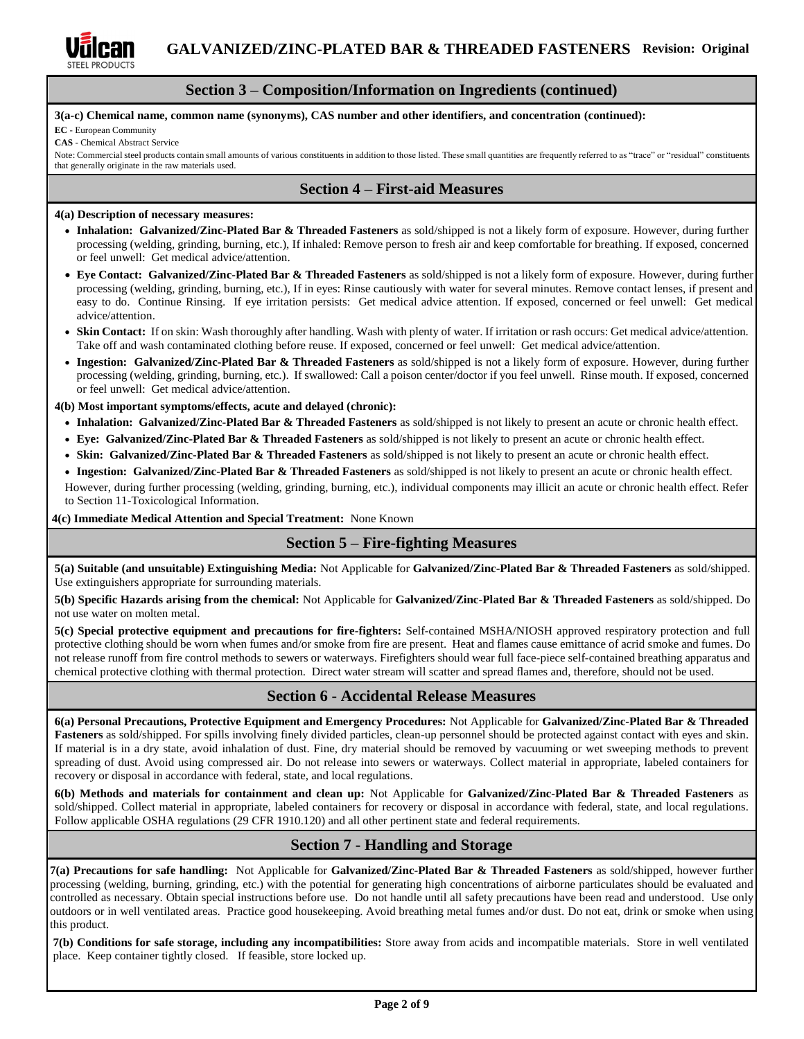

### **Section 3 – Composition/Information on Ingredients (continued)**

#### **3(a-c) Chemical name, common name (synonyms), CAS number and other identifiers, and concentration (continued):**

**EC** - European Community

**CAS** - Chemical Abstract Service

Note: Commercial steel products contain small amounts of various constituents in addition to those listed. These small quantities are frequently referred to as "trace" or "residual" constituents that generally originate in the raw materials used.

### **Section 4 – First-aid Measures**

### **4(a) Description of necessary measures:**

- **Inhalation: Galvanized/Zinc-Plated Bar & Threaded Fasteners** as sold/shipped is not a likely form of exposure. However, during further processing (welding, grinding, burning, etc.), If inhaled: Remove person to fresh air and keep comfortable for breathing. If exposed, concerned or feel unwell: Get medical advice/attention.
- **Eye Contact: Galvanized/Zinc-Plated Bar & Threaded Fasteners** as sold/shipped is not a likely form of exposure. However, during further processing (welding, grinding, burning, etc.), If in eyes: Rinse cautiously with water for several minutes. Remove contact lenses, if present and easy to do. Continue Rinsing. If eye irritation persists: Get medical advice attention. If exposed, concerned or feel unwell: Get medical advice/attention.
- **Skin Contact:** If on skin: Wash thoroughly after handling. Wash with plenty of water. If irritation or rash occurs: Get medical advice/attention. Take off and wash contaminated clothing before reuse. If exposed, concerned or feel unwell: Get medical advice/attention.
- **Ingestion: Galvanized/Zinc-Plated Bar & Threaded Fasteners** as sold/shipped is not a likely form of exposure. However, during further processing (welding, grinding, burning, etc.). If swallowed: Call a poison center/doctor if you feel unwell. Rinse mouth. If exposed, concerned or feel unwell: Get medical advice/attention.

### **4(b) Most important symptoms/effects, acute and delayed (chronic):**

- **Inhalation: Galvanized/Zinc-Plated Bar & Threaded Fasteners** as sold/shipped is not likely to present an acute or chronic health effect.
- **Eye: Galvanized/Zinc-Plated Bar & Threaded Fasteners** as sold/shipped is not likely to present an acute or chronic health effect.
- **Skin: Galvanized/Zinc-Plated Bar & Threaded Fasteners** as sold/shipped is not likely to present an acute or chronic health effect.

• **Ingestion: Galvanized/Zinc-Plated Bar & Threaded Fasteners** as sold/shipped is not likely to present an acute or chronic health effect.

However, during further processing (welding, grinding, burning, etc.), individual components may illicit an acute or chronic health effect. Refer to Section 11-Toxicological Information.

**4(c) Immediate Medical Attention and Special Treatment:** None Known

## **Section 5 – Fire-fighting Measures**

**5(a) Suitable (and unsuitable) Extinguishing Media:** Not Applicable for **Galvanized/Zinc-Plated Bar & Threaded Fasteners** as sold/shipped. Use extinguishers appropriate for surrounding materials.

**5(b) Specific Hazards arising from the chemical:** Not Applicable for **Galvanized/Zinc-Plated Bar & Threaded Fasteners** as sold/shipped. Do not use water on molten metal.

**5(c) Special protective equipment and precautions for fire-fighters:** Self-contained MSHA/NIOSH approved respiratory protection and full protective clothing should be worn when fumes and/or smoke from fire are present. Heat and flames cause emittance of acrid smoke and fumes. Do not release runoff from fire control methods to sewers or waterways. Firefighters should wear full face-piece self-contained breathing apparatus and chemical protective clothing with thermal protection. Direct water stream will scatter and spread flames and, therefore, should not be used.

## **Section 6 - Accidental Release Measures**

**6(a) Personal Precautions, Protective Equipment and Emergency Procedures:** Not Applicable for **Galvanized/Zinc-Plated Bar & Threaded Fasteners** as sold/shipped. For spills involving finely divided particles, clean-up personnel should be protected against contact with eyes and skin. If material is in a dry state, avoid inhalation of dust. Fine, dry material should be removed by vacuuming or wet sweeping methods to prevent spreading of dust. Avoid using compressed air. Do not release into sewers or waterways. Collect material in appropriate, labeled containers for recovery or disposal in accordance with federal, state, and local regulations.

**6(b) Methods and materials for containment and clean up:** Not Applicable for **Galvanized/Zinc-Plated Bar & Threaded Fasteners** as sold/shipped. Collect material in appropriate, labeled containers for recovery or disposal in accordance with federal, state, and local regulations. Follow applicable OSHA regulations (29 CFR 1910.120) and all other pertinent state and federal requirements.

# **Section 7 - Handling and Storage**

**7(a) Precautions for safe handling:** Not Applicable for **Galvanized/Zinc-Plated Bar & Threaded Fasteners** as sold/shipped, however further processing (welding, burning, grinding, etc.) with the potential for generating high concentrations of airborne particulates should be evaluated and controlled as necessary. Obtain special instructions before use. Do not handle until all safety precautions have been read and understood. Use only outdoors or in well ventilated areas. Practice good housekeeping. Avoid breathing metal fumes and/or dust. Do not eat, drink or smoke when using this product.

**7(b) Conditions for safe storage, including any incompatibilities:** Store away from acids and incompatible materials. Store in well ventilated place. Keep container tightly closed. If feasible, store locked up.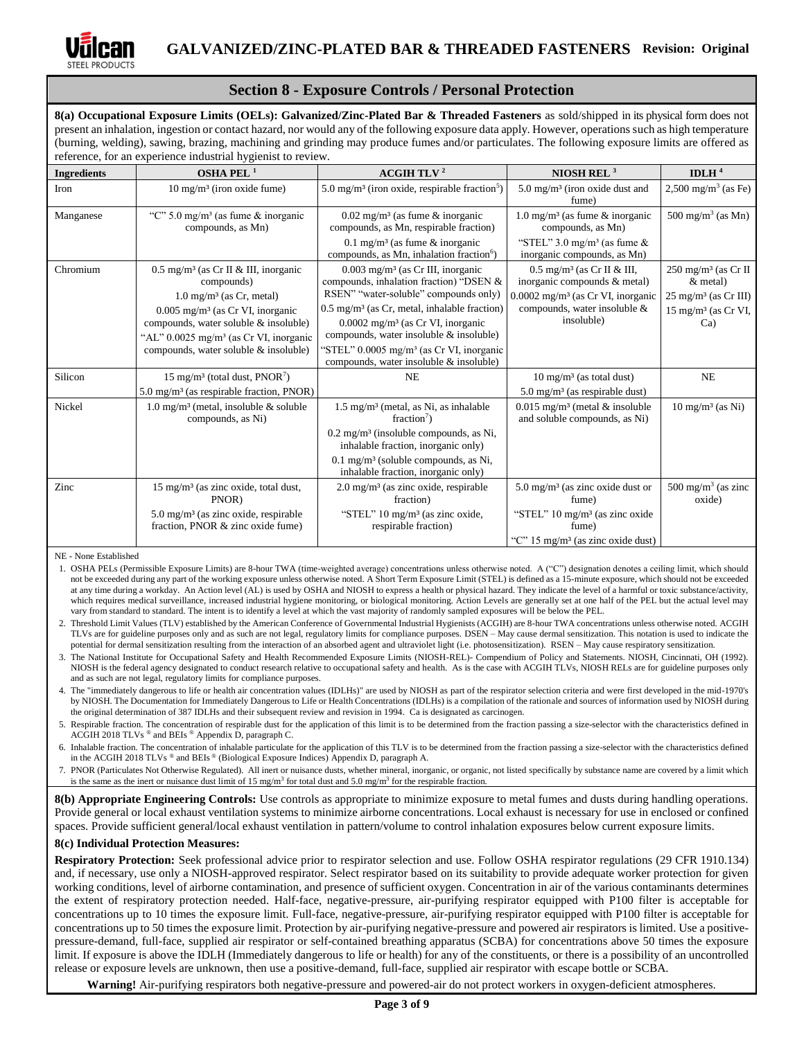

## **Section 8 - Exposure Controls / Personal Protection**

**8(a) Occupational Exposure Limits (OELs): Galvanized/Zinc-Plated Bar & Threaded Fasteners** as sold/shipped in its physical form does not present an inhalation, ingestion or contact hazard, nor would any of the following exposure data apply. However, operations such as high temperature (burning, welding), sawing, brazing, machining and grinding may produce fumes and/or particulates. The following exposure limits are offered as reference, for an experience industrial hygienist to review.

| <b>Ingredients</b> | OSHA PEL <sup>1</sup>                                                                                                                                                                  | <b>ACGIH TLV<sup>2</sup></b>                                                                                                                             | NIOSH REL $3$                                                                                 | IDLH $4$                                                                |
|--------------------|----------------------------------------------------------------------------------------------------------------------------------------------------------------------------------------|----------------------------------------------------------------------------------------------------------------------------------------------------------|-----------------------------------------------------------------------------------------------|-------------------------------------------------------------------------|
| Iron               | $10 \text{ mg/m}^3$ (iron oxide fume)                                                                                                                                                  | 5.0 mg/m <sup>3</sup> (iron oxide, respirable fraction <sup>5</sup> )                                                                                    | $5.0 \text{ mg/m}^3$ (iron oxide dust and<br>fume)                                            | $2,500 \text{ mg/m}^3$ (as Fe)                                          |
| Manganese          | "C" $5.0 \text{ mg/m}^3$ (as fume & inorganic<br>compounds, as Mn)                                                                                                                     | $0.02$ mg/m <sup>3</sup> (as fume & inorganic<br>compounds, as Mn, respirable fraction)                                                                  | $1.0 \text{ mg/m}^3$ (as fume & inorganic<br>compounds, as Mn)                                | 500 mg/m <sup>3</sup> (as Mn)                                           |
|                    |                                                                                                                                                                                        | 0.1 mg/m <sup>3</sup> (as fume $\&$ inorganic<br>compounds, as Mn, inhalation fraction <sup>6</sup> )                                                    | "STEL" $3.0 \text{ mg/m}^3$ (as fume &<br>inorganic compounds, as Mn)                         |                                                                         |
| Chromium           | $0.5 \text{ mg/m}^3$ (as Cr II & III, inorganic<br>compounds)                                                                                                                          | $0.003$ mg/m <sup>3</sup> (as Cr III, inorganic<br>compounds, inhalation fraction) "DSEN &<br>RSEN" "water-soluble" compounds only)                      | $0.5$ mg/m <sup>3</sup> (as Cr II & III,<br>inorganic compounds & metal)                      | $250 \text{ mg/m}^3$ (as Cr II<br>$&$ metal)                            |
|                    | $1.0 \text{ mg/m}^3$ (as Cr, metal)<br>$0.005$ mg/m <sup>3</sup> (as Cr VI, inorganic<br>compounds, water soluble & insoluble)<br>"AL" $0.0025$ mg/m <sup>3</sup> (as Cr VI, inorganic | $0.5$ mg/m <sup>3</sup> (as Cr, metal, inhalable fraction)<br>$0.0002$ mg/m <sup>3</sup> (as Cr VI, inorganic<br>compounds, water insoluble & insoluble) | $0.0002$ mg/m <sup>3</sup> (as Cr VI, inorganic<br>compounds, water insoluble &<br>insoluble) | $25 \text{ mg/m}^3$ (as Cr III)<br>$15 \text{ mg/m}^3$ (as Cr VI,<br>Ca |
|                    | compounds, water soluble & insoluble)                                                                                                                                                  | "STEL" 0.0005 mg/m <sup>3</sup> (as Cr VI, inorganic<br>compounds, water insoluble & insoluble)                                                          |                                                                                               |                                                                         |
| Silicon            | 15 mg/m <sup>3</sup> (total dust, $PNOR7$ )<br>$5.0 \text{ mg/m}^3$ (as respirable fraction, PNOR)                                                                                     | <b>NE</b>                                                                                                                                                | $10 \text{ mg/m}^3$ (as total dust)<br>$5.0 \text{ mg/m}^3$ (as respirable dust)              | <b>NE</b>                                                               |
| Nickel             | $1.0 \text{ mg/m}^3$ (metal, insoluble & soluble<br>compounds, as Ni)                                                                                                                  | $1.5 \text{ mg/m}^3$ (metal, as Ni, as inhalable<br>fraction <sup>7</sup> )                                                                              | $0.015$ mg/m <sup>3</sup> (metal & insoluble<br>and soluble compounds, as Ni)                 | $10 \text{ mg/m}^3$ (as Ni)                                             |
|                    |                                                                                                                                                                                        | $0.2 \text{ mg/m}^3$ (insoluble compounds, as Ni,<br>inhalable fraction, inorganic only)                                                                 |                                                                                               |                                                                         |
|                    |                                                                                                                                                                                        | $0.1$ mg/m <sup>3</sup> (soluble compounds, as Ni,<br>inhalable fraction, inorganic only)                                                                |                                                                                               |                                                                         |
| Zinc               | $15 \text{ mg/m}^3$ (as zinc oxide, total dust,<br>PNOR)                                                                                                                               | $2.0 \text{ mg/m}^3$ (as zinc oxide, respirable<br>fraction)                                                                                             | $5.0 \text{ mg/m}^3$ (as zinc oxide dust or<br>fume)                                          | 500 mg/m <sup>3</sup> (as zinc<br>oxide)                                |
|                    | $5.0 \text{ mg/m}^3$ (as zinc oxide, respirable<br>fraction, PNOR & zinc oxide fume)                                                                                                   | "STEL" 10 mg/m <sup>3</sup> (as zinc oxide,<br>respirable fraction)                                                                                      | "STEL" 10 mg/m <sup>3</sup> (as zinc oxide<br>fume)                                           |                                                                         |
|                    |                                                                                                                                                                                        |                                                                                                                                                          | "C" $15 \text{ mg/m}^3$ (as zinc oxide dust)                                                  |                                                                         |

NE - None Established

1. OSHA PELs (Permissible Exposure Limits) are 8-hour TWA (time-weighted average) concentrations unless otherwise noted. A ("C") designation denotes a ceiling limit, which should not be exceeded during any part of the working exposure unless otherwise noted. A Short Term Exposure Limit (STEL) is defined as a 15-minute exposure, which should not be exceeded at any time during a workday. An Action level (AL) is used b[y OSHA](http://www.ilpi.com/msds/ref/osha.html) an[d NIOSH](http://www.ilpi.com/msds/ref/niosh.html) to express a health or physical hazard. They indicate the level of a harmful or toxic substance/activity, which requires medical surveillance, increased industrial hygiene monitoring, or biological monitoring. Action Levels are generally set at one half of the PEL but the actual level may vary from standard to standard. The intent is to identify a level at which the vast majority of randomly sampled exposures will be below the PEL.

2. Threshold Limit Values (TLV) established by the American Conference of Governmental Industrial Hygienists (ACGIH) are 8-hour TWA concentrations unless otherwise noted. ACGIH TLVs are for guideline purposes only and as such are not legal, regulatory limits for compliance purposes. DSEN – May cause dermal sensitization. This notation is used to indicate the potential for dermal sensitization resulting from the interaction of an absorbed agent and ultraviolet light (i.e. photosensitization). RSEN – May cause respiratory sensitization.

3. The National Institute for Occupational Safety and Health Recommended Exposure Limits (NIOSH-REL)- Compendium of Policy and Statements. NIOSH, Cincinnati, OH (1992). NIOSH is the federal agency designated to conduct research relative to occupational safety and health. As is the case with ACGIH TLVs, NIOSH RELs are for guideline purposes only and as such are not legal, regulatory limits for compliance purposes.

4. The "immediately dangerous to life or health air concentration values (IDLHs)" are used by NIOSH as part of the respirator selection criteria and were first developed in the mid-1970's by NIOSH. The Documentation for Immediately Dangerous to Life or Health Concentrations (IDLHs) is a compilation of the rationale and sources of information used by NIOSH during the original determination of 387 IDLHs and their subsequent review and revision in 1994. Ca is designated as carcinogen.

5. Respirable fraction. The concentration of respirable dust for the application of this limit is to be determined from the fraction passing a size-selector with the characteristics defined in ACGIH 2018 TLVs ® and BEIs ® Appendix D, paragraph C.

6. Inhalable fraction. The concentration of inhalable particulate for the application of this TLV is to be determined from the fraction passing a size-selector with the characteristics defined in the ACGIH 2018 TLVs ® and BEIs ® (Biological Exposure Indices) Appendix D, paragraph A.

7. PNOR (Particulates Not Otherwise Regulated). All inert or nuisance dusts, whether mineral, inorganic, or organic, not listed specifically by substance name are covered by a limit which is the same as the inert or nuisance dust limit of 15 mg/m<sup>3</sup> for total dust and 5.0 mg/m<sup>3</sup> for the respirable fraction.

**8(b) Appropriate Engineering Controls:** Use controls as appropriate to minimize exposure to metal fumes and dusts during handling operations. Provide general or local exhaust ventilation systems to minimize airborne concentrations. Local exhaust is necessary for use in enclosed or confined spaces. Provide sufficient general/local exhaust ventilation in pattern/volume to control inhalation exposures below current exposure limits.

### **8(c) Individual Protection Measures:**

**Respiratory Protection:** Seek professional advice prior to respirator selection and use. Follow OSHA respirator regulations (29 CFR 1910.134) and, if necessary, use only a NIOSH-approved respirator. Select respirator based on its suitability to provide adequate worker protection for given working conditions, level of airborne contamination, and presence of sufficient oxygen. Concentration in air of the various contaminants determines the extent of respiratory protection needed. Half-face, negative-pressure, air-purifying respirator equipped with P100 filter is acceptable for concentrations up to 10 times the exposure limit. Full-face, negative-pressure, air-purifying respirator equipped with P100 filter is acceptable for concentrations up to 50 times the exposure limit. Protection by air-purifying negative-pressure and powered air respirators is limited. Use a positivepressure-demand, full-face, supplied air respirator or self-contained breathing apparatus (SCBA) for concentrations above 50 times the exposure limit. If exposure is above the IDLH (Immediately dangerous to life or health) for any of the constituents, or there is a possibility of an uncontrolled release or exposure levels are unknown, then use a positive-demand, full-face, supplied air respirator with escape bottle or SCBA.

**Warning!** Air-purifying respirators both negative-pressure and powered-air do not protect workers in oxygen-deficient atmospheres.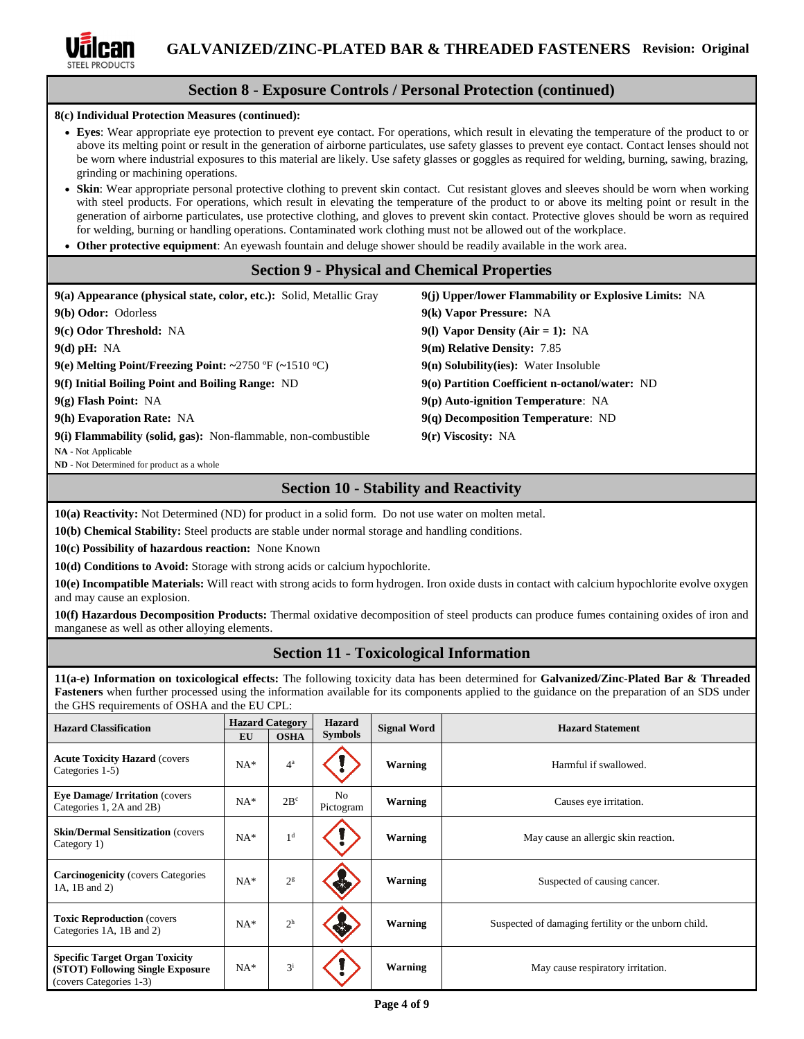

# **Section 8 - Exposure Controls / Personal Protection (continued)**

**8(c) Individual Protection Measures (continued):**

- **Eyes**: Wear appropriate eye protection to prevent eye contact. For operations, which result in elevating the temperature of the product to or above its melting point or result in the generation of airborne particulates, use safety glasses to prevent eye contact. Contact lenses should not be worn where industrial exposures to this material are likely. Use safety glasses or goggles as required for welding, burning, sawing, brazing, grinding or machining operations.
- **Skin**: Wear appropriate personal protective clothing to prevent skin contact. Cut resistant gloves and sleeves should be worn when working with steel products. For operations, which result in elevating the temperature of the product to or above its melting point or result in the generation of airborne particulates, use protective clothing, and gloves to prevent skin contact. Protective gloves should be worn as required for welding, burning or handling operations. Contaminated work clothing must not be allowed out of the workplace.
- **Other protective equipment**: An eyewash fountain and deluge shower should be readily available in the work area.

## **Section 9 - Physical and Chemical Properties**

| 9(a) Appearance (physical state, color, etc.): Solid, Metallic Gray | 9(j) Upper/lower Flammability or Explosive Limits: NA |
|---------------------------------------------------------------------|-------------------------------------------------------|
| 9(b) Odor: Odorless                                                 | 9(k) Vapor Pressure: NA                               |
| 9(c) Odor Threshold: NA                                             | 9(1) Vapor Density (Air = 1): NA                      |
| $9(d)$ pH: NA                                                       | 9(m) Relative Density: 7.85                           |
| 9(e) Melting Point/Freezing Point: ~2750 °F (~1510 °C)              | $9(n)$ Solubility(ies): Water Insoluble               |
| 9(f) Initial Boiling Point and Boiling Range: ND                    | 9(o) Partition Coefficient n-octanol/water: ND        |
| $9(g)$ Flash Point: NA                                              | $9(p)$ Auto-ignition Temperature: NA                  |
| 9(h) Evaporation Rate: NA                                           | $9(q)$ Decomposition Temperature: ND                  |
| 9(i) Flammability (solid, gas): Non-flammable, non-combustible      | $9(r)$ Viscosity: NA                                  |
| NA - Not Applicable                                                 |                                                       |
| ND - Not Determined for product as a whole                          |                                                       |

# **Section 10 - Stability and Reactivity**

**10(a) Reactivity:** Not Determined (ND) for product in a solid form. Do not use water on molten metal.

**10(b) Chemical Stability:** Steel products are stable under normal storage and handling conditions.

**10(c) Possibility of hazardous reaction:** None Known

**10(d) Conditions to Avoid:** Storage with strong acids or calcium hypochlorite.

**10(e) Incompatible Materials:** Will react with strong acids to form hydrogen. Iron oxide dusts in contact with calcium hypochlorite evolve oxygen and may cause an explosion.

**10(f) Hazardous Decomposition Products:** Thermal oxidative decomposition of steel products can produce fumes containing oxides of iron and manganese as well as other alloying elements.

# **Section 11 - Toxicological Information**

**11(a-e) Information on toxicological effects:** The following toxicity data has been determined for **Galvanized/Zinc-Plated Bar & Threaded Fasteners** when further processed using the information available for its components applied to the guidance on the preparation of an SDS under the GHS requirements of OSHA and the EU CPL:

| <b>Hazard Classification</b>                                                                         | EU    | <b>Hazard Category</b><br><b>OSHA</b> | <b>Hazard</b><br><b>Symbols</b> | <b>Signal Word</b> | <b>Hazard Statement</b>                              |
|------------------------------------------------------------------------------------------------------|-------|---------------------------------------|---------------------------------|--------------------|------------------------------------------------------|
| <b>Acute Toxicity Hazard (covers)</b><br>Categories 1-5)                                             | $NA*$ | $4^a$                                 |                                 | Warning            | Harmful if swallowed.                                |
| <b>Eye Damage/Irritation (covers)</b><br>Categories 1, 2A and 2B)                                    | $NA*$ | $2B^c$                                | N <sub>o</sub><br>Pictogram     | Warning            | Causes eye irritation.                               |
| <b>Skin/Dermal Sensitization (covers)</b><br>Category 1)                                             | $NA*$ | 1 <sup>d</sup>                        |                                 | Warning            | May cause an allergic skin reaction.                 |
| <b>Carcinogenicity</b> (covers Categories<br>1A, 1B and 2)                                           | $NA*$ | 2 <sup>g</sup>                        |                                 | <b>Warning</b>     | Suspected of causing cancer.                         |
| <b>Toxic Reproduction (covers)</b><br>Categories 1A, 1B and 2)                                       | $NA*$ | 2 <sup>h</sup>                        |                                 | <b>Warning</b>     | Suspected of damaging fertility or the unborn child. |
| <b>Specific Target Organ Toxicity</b><br>(STOT) Following Single Exposure<br>(covers Categories 1-3) | $NA*$ | $3^{i}$                               |                                 | <b>Warning</b>     | May cause respiratory irritation.                    |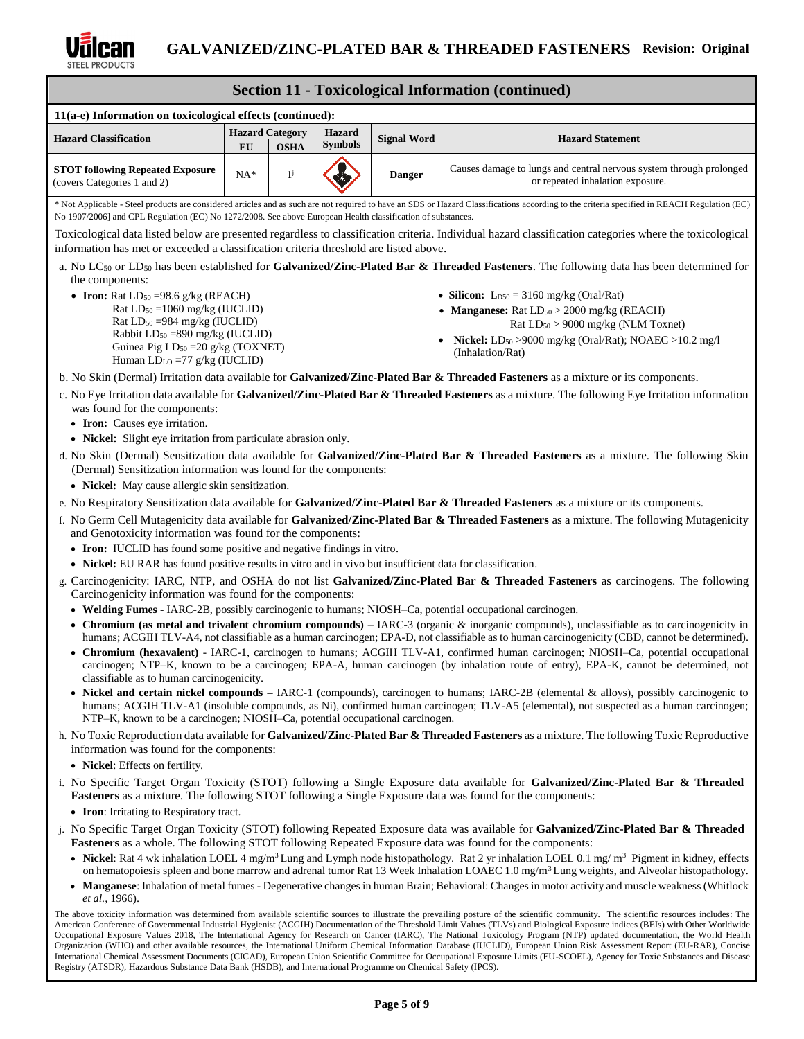

#### **Section 11 - Toxicological Information (continued) 11(a-e) Information on toxicological effects (continued): Hazard Classification Hazard Category Hazard EU OSHA Symbols Signal Word Hazard Statement EU OSHA STOT following Repeated Exposure** (covers Categories 1 and 2)  $NA*$  1<sup>j</sup> **Danger** Causes damage to lungs and central nervous system through prolonged or repeated inhalation exposure. \* Not Applicable - Steel products are considered articles and as such are not required to have an SDS or Hazard Classifications according to the criteria specified in REACH Regulation (EC) No 1907/2006] and CPL Regulation (EC) No 1272/2008. See above European Health classification of substances. Toxicological data listed below are presented regardless to classification criteria. Individual hazard classification categories where the toxicological information has met or exceeded a classification criteria threshold are listed above. a. No LC<sub>50</sub> or LD<sub>50</sub> has been established for Galvanized/Zinc-Plated Bar & Threaded Fasteners. The following data has been determined for the components: • **Iron:** Rat  $LD_{50} = 98.6$  g/kg (REACH) Rat  $LD_{50} = 1060$  mg/kg (IUCLID) Rat LD<sup>50</sup> =984 mg/kg (IUCLID) Rabbit LD<sup>50</sup> =890 mg/kg (IUCLID) Guinea Pig LD<sub>50</sub> = 20 g/kg (TOXNET) Human LD<sub>LO</sub> =77 g/kg (IUCLID) • **Silicon:** L<sub>D50</sub> = 3160 mg/kg (Oral/Rat) • **Manganese:** Rat LD<sub>50</sub> > 2000 mg/kg (REACH) Rat LD<sup>50</sup> > 9000 mg/kg (NLM Toxnet) • **Nickel:** LD<sup>50</sup> >9000 mg/kg (Oral/Rat); NOAEC >10.2 mg/l (Inhalation/Rat) b. No Skin (Dermal) Irritation data available for **Galvanized/Zinc-Plated Bar & Threaded Fasteners** as a mixture or its components. c. No Eye Irritation data available for **Galvanized/Zinc-Plated Bar & Threaded Fasteners** as a mixture. The following Eye Irritation information was found for the components: • **Iron:** Causes eye irritation. • **Nickel:** Slight eye irritation from particulate abrasion only. d. No Skin (Dermal) Sensitization data available for **Galvanized/Zinc-Plated Bar & Threaded Fasteners** as a mixture. The following Skin (Dermal) Sensitization information was found for the components: • **Nickel:** May cause allergic skin sensitization. e. No Respiratory Sensitization data available for **Galvanized/Zinc-Plated Bar & Threaded Fasteners** as a mixture or its components. f. No Germ Cell Mutagenicity data available for **Galvanized/Zinc-Plated Bar & Threaded Fasteners** as a mixture. The following Mutagenicity and Genotoxicity information was found for the components: • **Iron:** IUCLID has found some positive and negative findings in vitro. • **Nickel:** EU RAR has found positive results in vitro and in vivo but insufficient data for classification. g. Carcinogenicity: IARC, NTP, and OSHA do not list **Galvanized/Zinc-Plated Bar & Threaded Fasteners** as carcinogens. The following Carcinogenicity information was found for the components: • **Welding Fumes -** IARC-2B, possibly carcinogenic to humans; NIOSH–Ca, potential occupational carcinogen. • **Chromium (as metal and trivalent chromium compounds)** – IARC-3 (organic & inorganic compounds), unclassifiable as to carcinogenicity in humans; ACGIH TLV-A4, not classifiable as a human carcinogen; EPA-D, not classifiable as to human carcinogenicity (CBD, cannot be determined). • **Chromium (hexavalent)** - IARC-1, carcinogen to humans; ACGIH TLV-A1, confirmed human carcinogen; NIOSH–Ca, potential occupational carcinogen; NTP–K, known to be a carcinogen; EPA-A, human carcinogen (by inhalation route of entry), EPA-K, cannot be determined, not classifiable as to human carcinogenicity. • **Nickel and certain nickel compounds –** IARC-1 (compounds), carcinogen to humans; IARC-2B (elemental & alloys), possibly carcinogenic to humans; ACGIH TLV-A1 (insoluble compounds, as Ni), confirmed human carcinogen; TLV-A5 (elemental), not suspected as a human carcinogen; NTP–K, known to be a carcinogen; NIOSH–Ca, potential occupational carcinogen.

- h. No Toxic Reproduction data available for **Galvanized/Zinc-Plated Bar & Threaded Fasteners** as a mixture. The following Toxic Reproductive information was found for the components:
	- **Nickel**: Effects on fertility.
- i. No Specific Target Organ Toxicity (STOT) following a Single Exposure data available for **Galvanized/Zinc-Plated Bar & Threaded Fasteners** as a mixture. The following STOT following a Single Exposure data was found for the components:
	- **Iron**: Irritating to Respiratory tract.
- j. No Specific Target Organ Toxicity (STOT) following Repeated Exposure data was available for **Galvanized/Zinc-Plated Bar & Threaded Fasteners** as a whole. The following STOT following Repeated Exposure data was found for the components:
	- Nickel: Rat 4 wk inhalation LOEL 4 mg/m<sup>3</sup> Lung and Lymph node histopathology. Rat 2 yr inhalation LOEL 0.1 mg/ m<sup>3</sup> Pigment in kidney, effects on hematopoiesis spleen and bone marrow and adrenal tumor Rat 13 Week Inhalation LOAEC 1.0 mg/m<sup>3</sup> Lung weights, and Alveolar histopathology.
	- **Manganese**: Inhalation of metal fumes Degenerative changes in human Brain; Behavioral: Changes in motor activity and muscle weakness (Whitlock *et al.,* 1966).

The above toxicity information was determined from available scientific sources to illustrate the prevailing posture of the scientific community. The scientific resources includes: The American Conference of Governmental Industrial Hygienist (ACGIH) Documentation of the Threshold Limit Values (TLVs) and Biological Exposure indices (BEIs) with Other Worldwide Occupational Exposure Values 2018, The International Agency for Research on Cancer (IARC), The National Toxicology Program (NTP) updated documentation, the World Health Organization (WHO) and other available resources, the International Uniform Chemical Information Database (IUCLID), European Union Risk Assessment Report (EU-RAR), Concise International Chemical Assessment Documents (CICAD), European Union Scientific Committee for Occupational Exposure Limits (EU-SCOEL), Agency for Toxic Substances and Disease Registry (ATSDR), Hazardous Substance Data Bank (HSDB), and International Programme on Chemical Safety (IPCS).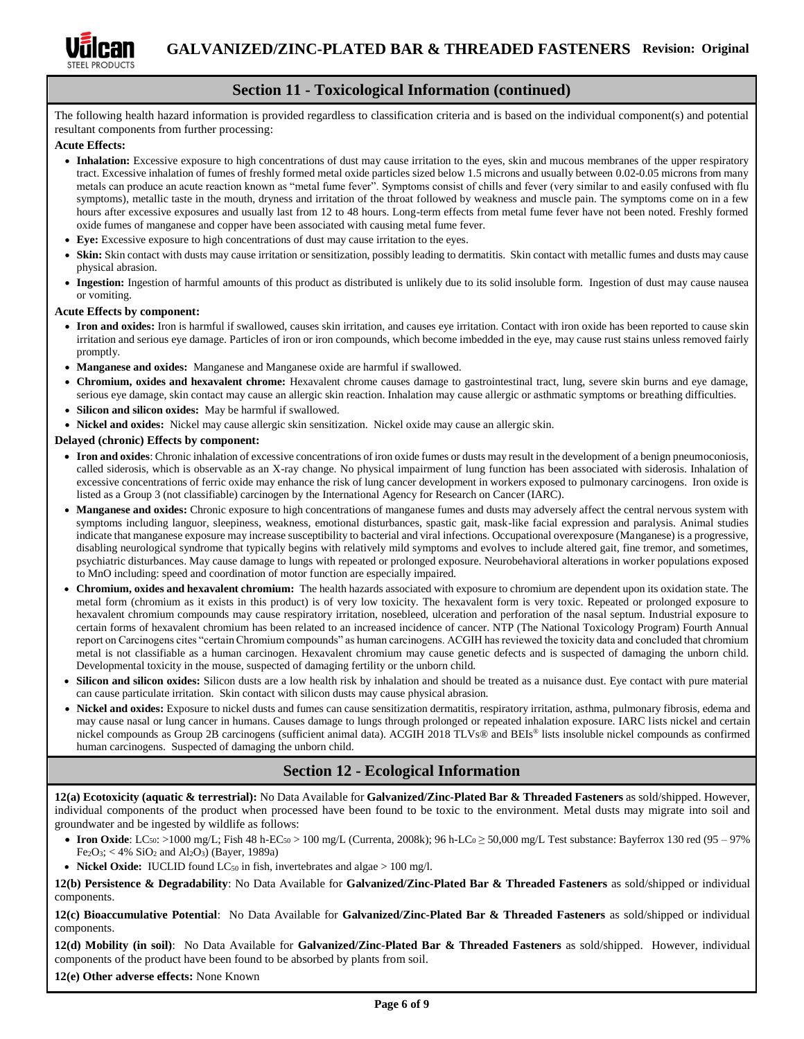

# **Section 11 - Toxicological Information (continued)**

The following health hazard information is provided regardless to classification criteria and is based on the individual component(s) and potential resultant components from further processing:

#### **Acute Effects:**

- Inhalation: Excessive exposure to high concentrations of dust may cause irritation to the eyes, skin and mucous membranes of the upper respiratory tract. Excessive inhalation of fumes of freshly formed metal oxide particles sized below 1.5 microns and usually between 0.02-0.05 microns from many metals can produce an acute reaction known as "metal fume fever". Symptoms consist of chills and fever (very similar to and easily confused with flu symptoms), metallic taste in the mouth, dryness and irritation of the throat followed by weakness and muscle pain. The symptoms come on in a few hours after excessive exposures and usually last from 12 to 48 hours. Long-term effects from metal fume fever have not been noted. Freshly formed oxide fumes of manganese and copper have been associated with causing metal fume fever.
- **Eye:** Excessive exposure to high concentrations of dust may cause irritation to the eyes.
- **Skin:** Skin contact with dusts may cause irritation or sensitization, possibly leading to dermatitis. Skin contact with metallic fumes and dusts may cause physical abrasion.
- **Ingestion:** Ingestion of harmful amounts of this product as distributed is unlikely due to its solid insoluble form. Ingestion of dust may cause nausea or vomiting.

#### **Acute Effects by component:**

- Iron and oxides: Iron is harmful if swallowed, causes skin irritation, and causes eye irritation. Contact with iron oxide has been reported to cause skin irritation and serious eye damage. Particles of iron or iron compounds, which become imbedded in the eye, may cause rust stains unless removed fairly promptly.
- **Manganese and oxides:** Manganese and Manganese oxide are harmful if swallowed.
- **Chromium, oxides and hexavalent chrome:** Hexavalent chrome causes damage to gastrointestinal tract, lung, severe skin burns and eye damage, serious eye damage, skin contact may cause an allergic skin reaction. Inhalation may cause allergic or asthmatic symptoms or breathing difficulties.
- **Silicon and silicon oxides:** May be harmful if swallowed.
- **Nickel and oxides:** Nickel may cause allergic skin sensitization. Nickel oxide may cause an allergic skin.

#### **Delayed (chronic) Effects by component:**

- **Iron and oxides**: Chronic inhalation of excessive concentrations of iron oxide fumes or dusts may result in the development of a benign pneumoconiosis, called siderosis, which is observable as an X-ray change. No physical impairment of lung function has been associated with siderosis. Inhalation of excessive concentrations of ferric oxide may enhance the risk of lung cancer development in workers exposed to pulmonary carcinogens. Iron oxide is listed as a Group 3 (not classifiable) carcinogen by the International Agency for Research on Cancer (IARC).
- **Manganese and oxides:** Chronic exposure to high concentrations of manganese fumes and dusts may adversely affect the central nervous system with symptoms including languor, sleepiness, weakness, emotional disturbances, spastic gait, mask-like facial expression and paralysis. Animal studies indicate that manganese exposure may increase susceptibility to bacterial and viral infections. Occupational overexposure (Manganese) is a progressive, disabling neurological syndrome that typically begins with relatively mild symptoms and evolves to include altered gait, fine tremor, and sometimes, psychiatric disturbances. May cause damage to lungs with repeated or prolonged exposure. Neurobehavioral alterations in worker populations exposed to MnO including: speed and coordination of motor function are especially impaired.
- **Chromium, oxides and hexavalent chromium:** The health hazards associated with exposure to chromium are dependent upon its oxidation state. The metal form (chromium as it exists in this product) is of very low toxicity. The hexavalent form is very toxic. Repeated or prolonged exposure to hexavalent chromium compounds may cause respiratory irritation, nosebleed, ulceration and perforation of the nasal septum. Industrial exposure to certain forms of hexavalent chromium has been related to an increased incidence of cancer. NTP (The National Toxicology Program) Fourth Annual report on Carcinogens cites "certain Chromium compounds" as human carcinogens. ACGIH has reviewed the toxicity data and concluded that chromium metal is not classifiable as a human carcinogen. Hexavalent chromium may cause genetic defects and is suspected of damaging the unborn child. Developmental toxicity in the mouse, suspected of damaging fertility or the unborn child.
- **Silicon and silicon oxides:** Silicon dusts are a low health risk by inhalation and should be treated as a nuisance dust. Eye contact with pure material can cause particulate irritation. Skin contact with silicon dusts may cause physical abrasion.
- **Nickel and oxides:** Exposure to nickel dusts and fumes can cause sensitization dermatitis, respiratory irritation, asthma, pulmonary fibrosis, edema and may cause nasal or lung cancer in humans. Causes damage to lungs through prolonged or repeated inhalation exposure. IARC lists nickel and certain nickel compounds as Group 2B carcinogens (sufficient animal data). ACGIH 2018 TLVs® and BEIs® lists insoluble nickel compounds as confirmed human carcinogens. Suspected of damaging the unborn child.

### **Section 12 - Ecological Information**

**12(a) Ecotoxicity (aquatic & terrestrial):** No Data Available for **Galvanized/Zinc-Plated Bar & Threaded Fasteners** as sold/shipped. However, individual components of the product when processed have been found to be toxic to the environment. Metal dusts may migrate into soil and groundwater and be ingested by wildlife as follows:

- **Iron Oxide**: LC<sub>50</sub>: >1000 mg/L; Fish 48 h-EC<sub>50</sub> > 100 mg/L (Currenta, 2008k); 96 h-LC<sub>0</sub> ≥ 50,000 mg/L Test substance: Bayferrox 130 red (95 97%)  $Fe<sub>2</sub>O<sub>3</sub>; < 4% SiO<sub>2</sub> and Al<sub>2</sub>O<sub>3</sub> (Bayer, 1989a)$
- **Nickel Oxide:** IUCLID found  $LC_{50}$  in fish, invertebrates and algae  $> 100$  mg/l.

**12(b) Persistence & Degradability**: No Data Available for **Galvanized/Zinc-Plated Bar & Threaded Fasteners** as sold/shipped or individual components.

**12(c) Bioaccumulative Potential**: No Data Available for **Galvanized/Zinc-Plated Bar & Threaded Fasteners** as sold/shipped or individual components.

**12(d) Mobility (in soil)**: No Data Available for **Galvanized/Zinc-Plated Bar & Threaded Fasteners** as sold/shipped. However, individual components of the product have been found to be absorbed by plants from soil.

**12(e) Other adverse effects:** None Known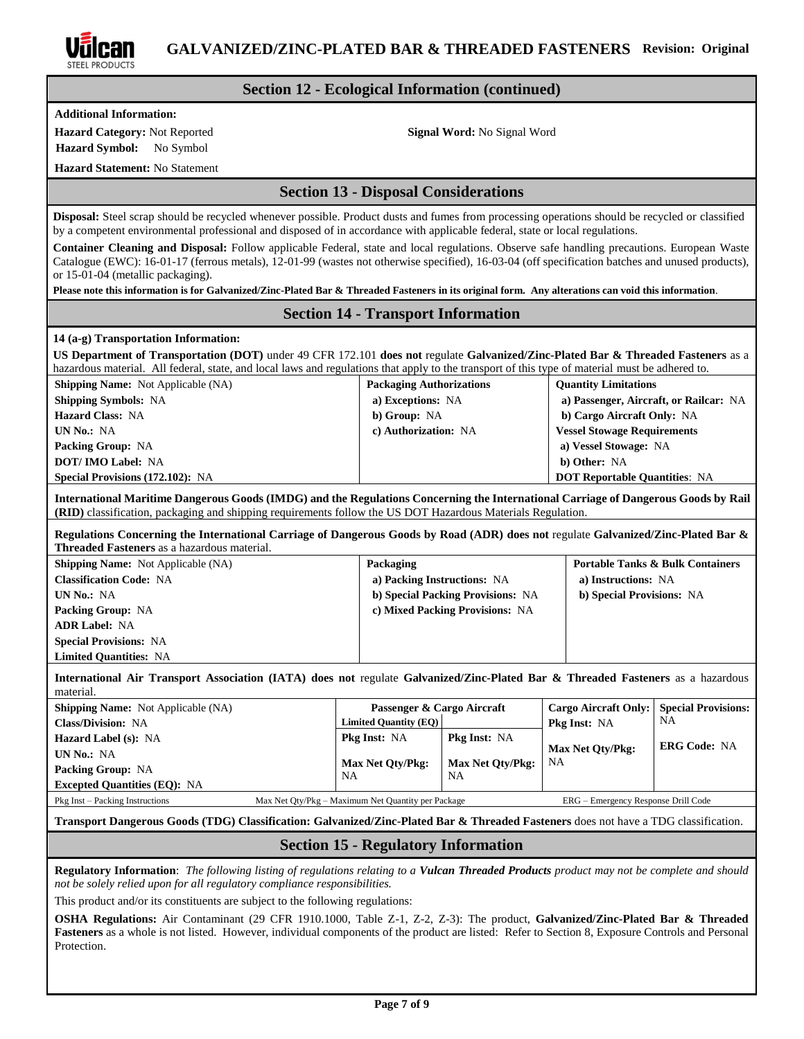

### **Section 12 - Ecological Information (continued)**

**Additional Information:**

**Hazard Category:** Not Reported **Signal Word:** No Signal Word

**Hazard Symbol:** No Symbol

**Hazard Statement:** No Statement

### **Section 13 - Disposal Considerations**

**Disposal:** Steel scrap should be recycled whenever possible. Product dusts and fumes from processing operations should be recycled or classified by a competent environmental professional and disposed of in accordance with applicable federal, state or local regulations.

**Container Cleaning and Disposal:** Follow applicable Federal, state and local regulations. Observe safe handling precautions. European Waste Catalogue (EWC): 16-01-17 (ferrous metals), 12-01-99 (wastes not otherwise specified), 16-03-04 (off specification batches and unused products), or 15-01-04 (metallic packaging).

**Please note this information is for Galvanized/Zinc-Plated Bar & Threaded Fasteners in its original form. Any alterations can void this information**.

## **Section 14 - Transport Information**

#### **14 (a-g) Transportation Information:**

**US Department of Transportation (DOT)** under 49 CFR 172.101 **does not** regulate **Galvanized/Zinc-Plated Bar & Threaded Fasteners** as a hazardous material. All federal, state, and local laws and regulations that apply to the transport of this type of material must be adhered to.

| <b>Shipping Name:</b> Not Applicable (NA) | <b>Packaging Authorizations</b> | <b>Quantity Limitations</b>            |
|-------------------------------------------|---------------------------------|----------------------------------------|
| <b>Shipping Symbols: NA</b>               | a) Exceptions: NA               | a) Passenger, Aircraft, or Railcar: NA |
| <b>Hazard Class: NA</b>                   | b) Group: NA                    | b) Cargo Aircraft Only: NA             |
| UN No.: NA                                | c) Authorization: NA            | <b>Vessel Stowage Requirements</b>     |
| <b>Packing Group: NA</b>                  |                                 | a) Vessel Stowage: NA                  |
| <b>DOT/IMO Label: NA</b>                  |                                 | b) Other: NA                           |
| <b>Special Provisions (172.102): NA</b>   |                                 | <b>DOT Reportable Quantities: NA</b>   |

**International Maritime Dangerous Goods (IMDG) and the Regulations Concerning the International Carriage of Dangerous Goods by Rail (RID)** classification, packaging and shipping requirements follow the US DOT Hazardous Materials Regulation.

**Regulations Concerning the International Carriage of Dangerous Goods by Road (ADR) does not** regulate **Galvanized/Zinc-Plated Bar & Threaded Fasteners** as a hazardous material.

| <b>Shipping Name:</b> Not Applicable (NA) | Packaging                         | <b>Portable Tanks &amp; Bulk Containers</b> |
|-------------------------------------------|-----------------------------------|---------------------------------------------|
| <b>Classification Code: NA</b>            | a) Packing Instructions: NA       | a) Instructions: NA                         |
| UN No.: NA                                | b) Special Packing Provisions: NA | b) Special Provisions: NA                   |
| <b>Packing Group: NA</b>                  | c) Mixed Packing Provisions: NA   |                                             |
| <b>ADR Label: NA</b>                      |                                   |                                             |
| <b>Special Provisions: NA</b>             |                                   |                                             |
| <b>Limited Quantities: NA</b>             |                                   |                                             |

**International Air Transport Association (IATA) does not** regulate **Galvanized/Zinc-Plated Bar & Threaded Fasteners** as a hazardous material

| <b>Shipping Name:</b> Not Applicable (NA) | Passenger & Cargo Aircraft                         |                                      | Cargo Aircraft Only: Special Provisions: |                     |
|-------------------------------------------|----------------------------------------------------|--------------------------------------|------------------------------------------|---------------------|
| <b>Class/Division: NA</b>                 | Limited Quantity (EQ)                              |                                      | <b>Pkg Inst: NA</b>                      | <b>NA</b>           |
| <b>Hazard Label (s): NA</b>               | <b>Pkg Inst: NA</b>                                | <b>Pkg Inst: NA</b>                  |                                          | <b>ERG Code: NA</b> |
| <b>UN No.: NA</b>                         |                                                    |                                      | <b>Max Net Oty/Pkg:</b><br><b>NA</b>     |                     |
| <b>Packing Group: NA</b>                  | Max Net Oty/Pkg:<br>NA                             | <b>Max Net Oty/Pkg:</b><br><b>NA</b> |                                          |                     |
| <b>Excepted Quantities (EQ): NA</b>       |                                                    |                                      |                                          |                     |
| Pkg Inst – Packing Instructions           | Max Net Oty/Pkg – Maximum Net Quantity per Package |                                      | ERG – Emergency Response Drill Code      |                     |

## **Transport Dangerous Goods (TDG) Classification: Galvanized/Zinc-Plated Bar & Threaded Fasteners** does not have a TDG classification.

### **Section 15 - Regulatory Information**

**Regulatory Information**: *The following listing of regulations relating to a Vulcan Threaded Products product may not be complete and should not be solely relied upon for all regulatory compliance responsibilities.*

This product and/or its constituents are subject to the following regulations:

**OSHA Regulations:** Air Contaminant (29 CFR 1910.1000, Table Z-1, Z-2, Z-3): The product, **Galvanized/Zinc-Plated Bar & Threaded Fasteners** as a whole is not listed. However, individual components of the product are listed: Refer to Section 8, Exposure Controls and Personal Protection.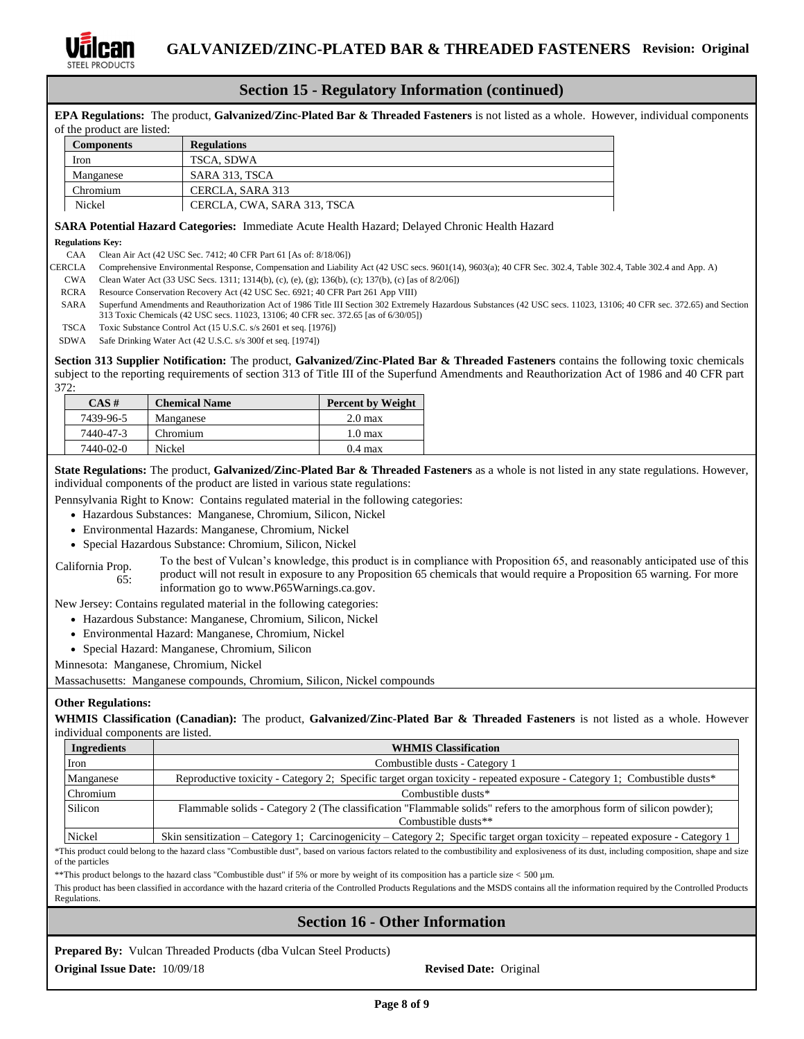

### **Section 15 - Regulatory Information (continued)**

**EPA Regulations:** The product, **Galvanized/Zinc-Plated Bar & Threaded Fasteners** is not listed as a whole. However, individual components of the product are listed:

| <b>Components</b> | <b>Regulations</b>          |
|-------------------|-----------------------------|
| Iron              | TSCA, SDWA                  |
| Manganese         | SARA 313, TSCA              |
| Chromium          | CERCLA, SARA 313            |
| Nickel            | CERCLA, CWA, SARA 313, TSCA |

### **SARA Potential Hazard Categories:** Immediate Acute Health Hazard; Delayed Chronic Health Hazard

#### **Regulations Key:**

CAA Clean Air Act (42 USC Sec. 7412; 40 CFR Part 61 [As of: 8/18/06])

- CERCLA Comprehensive Environmental Response, Compensation and Liability Act (42 USC secs. 9601(14), 9603(a); 40 CFR Sec. 302.4, Table 302.4, Table 302.4 and App. A)
- CWA Clean Water Act (33 USC Secs. 1311; 1314(b), (c), (e), (g); 136(b), (c); 137(b), (c) [as of 8/2/06])
- RCRA Resource Conservation Recovery Act (42 USC Sec. 6921; 40 CFR Part 261 App VIII)
- SARA Superfund Amendments and Reauthorization Act of 1986 Title III Section 302 Extremely Hazardous Substances (42 USC secs. 11023, 13106; 40 CFR sec. 372.65) and Section 313 Toxic Chemicals (42 USC secs. 11023, 13106; 40 CFR sec. 372.65 [as of 6/30/05])
- TSCA Toxic Substance Control Act (15 U.S.C. s/s 2601 et seq. [1976])
- SDWA Safe Drinking Water Act (42 U.S.C. s/s 300f et seq. [1974])

**Section 313 Supplier Notification:** The product, **Galvanized/Zinc-Plated Bar & Threaded Fasteners** contains the following toxic chemicals subject to the reporting requirements of section 313 of Title III of the Superfund Amendments and Reauthorization Act of 1986 and 40 CFR part 372:

| $CAS \#$  | <b>Chemical Name</b> | <b>Percent by Weight</b> |
|-----------|----------------------|--------------------------|
| 7439-96-5 | Manganese            | 2.0 <sub>max</sub>       |
| 7440-47-3 | Chromium             | $1.0 \text{ max}$        |
| 7440-02-0 | Nickel               | $0.4 \text{ max}$        |

**State Regulations:** The product, Galvanized/Zinc-Plated Bar & Threaded Fasteners as a whole is not listed in any state regulations. However, individual components of the product are listed in various state regulations:

Pennsylvania Right to Know: Contains regulated material in the following categories:

- Hazardous Substances: Manganese, Chromium, Silicon, Nickel
- Environmental Hazards: Manganese, Chromium, Nickel
- Special Hazardous Substance: Chromium, Silicon, Nickel

California Prop. 65: To the best of Vulcan's knowledge, this product is in compliance with Proposition 65, and reasonably anticipated use of this product will not result in exposure to any Proposition 65 chemicals that would require a Proposition 65 warning. For more information go to www.P65Warnings.ca.gov.

New Jersey: Contains regulated material in the following categories:

- Hazardous Substance: Manganese, Chromium, Silicon, Nickel
- Environmental Hazard: Manganese, Chromium, Nickel
- Special Hazard: Manganese, Chromium, Silicon

Minnesota: Manganese, Chromium, Nickel

Massachusetts: Manganese compounds, Chromium, Silicon, Nickel compounds

#### **Other Regulations:**

**WHMIS Classification (Canadian):** The product, **Galvanized/Zinc-Plated Bar & Threaded Fasteners** is not listed as a whole. However individual components are listed.

| Ingredients | <b>WHMIS Classification</b>                                                                                                    |  |  |
|-------------|--------------------------------------------------------------------------------------------------------------------------------|--|--|
| <b>Iron</b> | Combustible dusts - Category 1                                                                                                 |  |  |
| Manganese   | Reproductive toxicity - Category 2; Specific target organ toxicity - repeated exposure - Category 1; Combustible dusts*        |  |  |
| Chromium    | Combustible dusts*                                                                                                             |  |  |
| Silicon     | Flammable solids - Category 2 (The classification "Flammable solids" refers to the amorphous form of silicon powder);          |  |  |
|             | Combustible dusts**                                                                                                            |  |  |
| Nickel      | Skin sensitization – Category 1; Carcinogenicity – Category 2; Specific target organ toxicity – repeated exposure - Category 1 |  |  |

\*This product could belong to the hazard class "Combustible dust", based on various factors related to the combustibility and explosiveness of its dust, including composition, shape and size of the particles

\*\*This product belongs to the hazard class "Combustible dust" if 5% or more by weight of its composition has a particle size < 500 µm.

This product has been classified in accordance with the hazard criteria of the Controlled Products Regulations and the MSDS contains all the information required by the Controlled Products Regulations.

## **Section 16 - Other Information**

**Prepared By:** Vulcan Threaded Products (dba Vulcan Steel Products) **Original Issue Date:**  $10/09/18$  **Revised Date:** Original **Revised Date:** Original